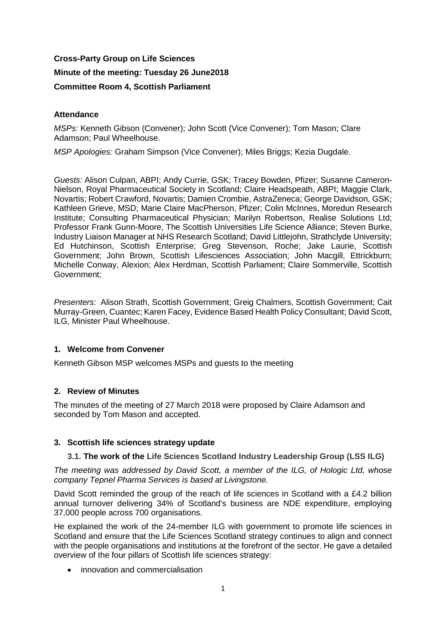# **Cross-Party Group on Life Sciences**

# **Minute of the meeting: Tuesday 26 June2018**

### **Committee Room 4, Scottish Parliament**

### **Attendance**

*MSPs:* Kenneth Gibson (Convener); John Scott (Vice Convener); Tom Mason; Clare Adamson; Paul Wheelhouse.

*MSP Apologies:* Graham Simpson (Vice Convener); Miles Briggs; Kezia Dugdale.

*Guests:* Alison Culpan, ABPI; Andy Currie, GSK; Tracey Bowden, Pfizer; Susanne Cameron-Nielson, Royal Pharmaceutical Society in Scotland; Claire Headspeath, ABPI; Maggie Clark, Novartis; Robert Crawford, Novartis; Damien Crombie, AstraZeneca; George Davidson, GSK; Kathleen Grieve, MSD; Marie Claire MacPherson, Pfizer; Colin McInnes, Moredun Research Institute; Consulting Pharmaceutical Physician; Marilyn Robertson, Realise Solutions Ltd; Professor Frank Gunn-Moore, The Scottish Universities Life Science Alliance; Steven Burke, Industry Liaison Manager at NHS Research Scotland; David Littlejohn, Strathclyde University; Ed Hutchinson, Scottish Enterprise; Greg Stevenson, Roche; Jake Laurie, Scottish Government; John Brown, Scottish Lifesciences Association; John Macgill, Ettrickburn; Michelle Conway, Alexion; Alex Herdman, Scottish Parliament; Claire Sommerville, Scottish Government;

*Presenters*: Alison Strath, Scottish Government; Greig Chalmers, Scottish Government; Cait Murray-Green, Cuantec; Karen Facey, Evidence Based Health Policy Consultant; David Scott, ILG, Minister Paul Wheelhouse.

# **1. Welcome from Convener**

Kenneth Gibson MSP welcomes MSPs and guests to the meeting

# **2. Review of Minutes**

The minutes of the meeting of 27 March 2018 were proposed by Claire Adamson and seconded by Tom Mason and accepted.

#### **3. Scottish life sciences strategy update**

#### **3.1. The work of the Life Sciences Scotland Industry Leadership Group (LSS ILG)**

*The meeting was addressed by David Scott, a member of the ILG, of Hologic Ltd, whose company Tepnel Pharma Services is based at Livingstone.*

David Scott reminded the group of the reach of life sciences in Scotland with a £4.2 billion annual turnover delivering 34% of Scotland's business are NDE expenditure, employing 37,000 people across 700 organisations.

He explained the work of the 24-member ILG with government to promote life sciences in Scotland and ensure that the Life Sciences Scotland strategy continues to align and connect with the people organisations and institutions at the forefront of the sector. He gave a detailed overview of the four pillars of Scottish life sciences strategy:

• innovation and commercialisation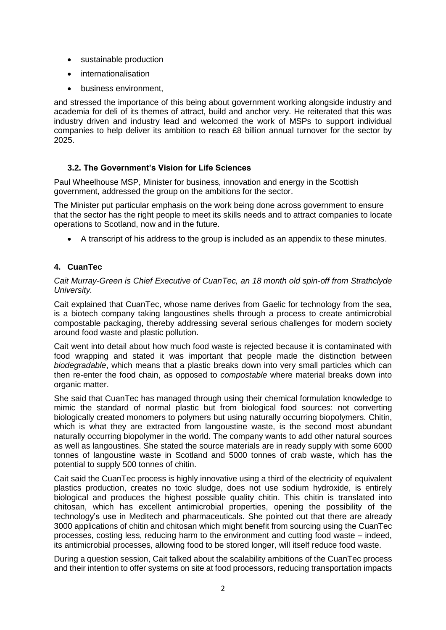- sustainable production
- internationalisation
- business environment,

and stressed the importance of this being about government working alongside industry and academia for deli of its themes of attract, build and anchor very. He reiterated that this was industry driven and industry lead and welcomed the work of MSPs to support individual companies to help deliver its ambition to reach £8 billion annual turnover for the sector by 2025.

# **3.2. The Government's Vision for Life Sciences**

Paul Wheelhouse MSP, Minister for business, innovation and energy in the Scottish government, addressed the group on the ambitions for the sector.

The Minister put particular emphasis on the work being done across government to ensure that the sector has the right people to meet its skills needs and to attract companies to locate operations to Scotland, now and in the future.

• A transcript of his address to the group is included as an appendix to these minutes.

# **4. CuanTec**

*Cait Murray-Green is Chief Executive of CuanTec, an 18 month old spin-off from Strathclyde University.* 

Cait explained that CuanTec, whose name derives from Gaelic for technology from the sea, is a biotech company taking langoustines shells through a process to create antimicrobial compostable packaging, thereby addressing several serious challenges for modern society around food waste and plastic pollution.

Cait went into detail about how much food waste is rejected because it is contaminated with food wrapping and stated it was important that people made the distinction between *biodegradable*, which means that a plastic breaks down into very small particles which can then re-enter the food chain, as opposed to *compostable* where material breaks down into organic matter.

She said that CuanTec has managed through using their chemical formulation knowledge to mimic the standard of normal plastic but from biological food sources: not converting biologically created monomers to polymers but using naturally occurring biopolymers. Chitin, which is what they are extracted from langoustine waste, is the second most abundant naturally occurring biopolymer in the world. The company wants to add other natural sources as well as langoustines. She stated the source materials are in ready supply with some 6000 tonnes of langoustine waste in Scotland and 5000 tonnes of crab waste, which has the potential to supply 500 tonnes of chitin.

Cait said the CuanTec process is highly innovative using a third of the electricity of equivalent plastics production, creates no toxic sludge, does not use sodium hydroxide, is entirely biological and produces the highest possible quality chitin. This chitin is translated into chitosan, which has excellent antimicrobial properties, opening the possibility of the technology's use in Meditech and pharmaceuticals. She pointed out that there are already 3000 applications of chitin and chitosan which might benefit from sourcing using the CuanTec processes, costing less, reducing harm to the environment and cutting food waste – indeed, its antimicrobial processes, allowing food to be stored longer, will itself reduce food waste.

During a question session, Cait talked about the scalability ambitions of the CuanTec process and their intention to offer systems on site at food processors, reducing transportation impacts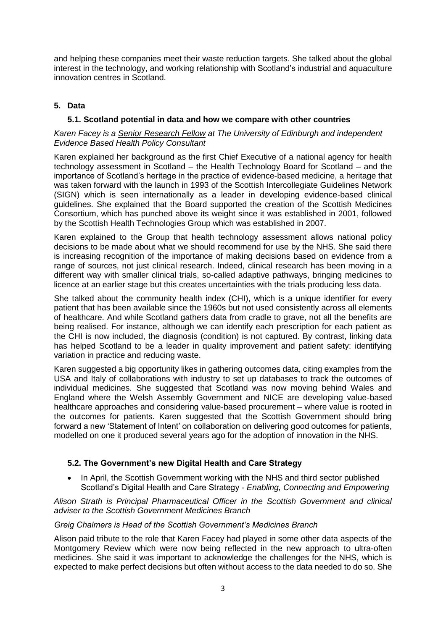and helping these companies meet their waste reduction targets. She talked about the global interest in the technology, and working relationship with Scotland's industrial and aquaculture innovation centres in Scotland.

# **5. Data**

### **5.1. Scotland potential in data and how we compare with other countries**

### *Karen Facey is a Senior [Research](https://uk.linkedin.com/title/senior-research-fellow?trk=pprofile_title) Fellow at The University of Edinburgh and independent Evidence Based Health Policy Consultant*

Karen explained her background as the first Chief Executive of a national agency for health technology assessment in Scotland – the Health Technology Board for Scotland – and the importance of Scotland's heritage in the practice of evidence-based medicine, a heritage that was taken forward with the launch in 1993 of the Scottish Intercollegiate Guidelines Network (SIGN) which is seen internationally as a leader in developing evidence-based clinical guidelines. She explained that the Board supported the creation of the Scottish Medicines Consortium, which has punched above its weight since it was established in 2001, followed by the Scottish Health Technologies Group which was established in 2007.

Karen explained to the Group that health technology assessment allows national policy decisions to be made about what we should recommend for use by the NHS. She said there is increasing recognition of the importance of making decisions based on evidence from a range of sources, not just clinical research. Indeed, clinical research has been moving in a different way with smaller clinical trials, so-called adaptive pathways, bringing medicines to licence at an earlier stage but this creates uncertainties with the trials producing less data.

She talked about the community health index (CHI), which is a unique identifier for every patient that has been available since the 1960s but not used consistently across all elements of healthcare. And while Scotland gathers data from cradle to grave, not all the benefits are being realised. For instance, although we can identify each prescription for each patient as the CHI is now included, the diagnosis (condition) is not captured. By contrast, linking data has helped Scotland to be a leader in quality improvement and patient safety: identifying variation in practice and reducing waste.

Karen suggested a big opportunity likes in gathering outcomes data, citing examples from the USA and Italy of collaborations with industry to set up databases to track the outcomes of individual medicines. She suggested that Scotland was now moving behind Wales and England where the Welsh Assembly Government and NICE are developing value-based healthcare approaches and considering value-based procurement – where value is rooted in the outcomes for patients. Karen suggested that the Scottish Government should bring forward a new 'Statement of Intent' on collaboration on delivering good outcomes for patients, modelled on one it produced several years ago for the adoption of innovation in the NHS.

# **5.2. The Government's new Digital Health and Care Strategy**

In April, the Scottish Government working with the NHS and third sector published Scotland's Digital Health and Care Strategy - *Enabling, Connecting and Empowering*

*Alison Strath is Principal Pharmaceutical Officer in the Scottish Government and clinical adviser to the Scottish Government Medicines Branch*

# *Greig Chalmers is Head of the Scottish Government's Medicines Branch*

Alison paid tribute to the role that Karen Facey had played in some other data aspects of the Montgomery Review which were now being reflected in the new approach to ultra-often medicines. She said it was important to acknowledge the challenges for the NHS, which is expected to make perfect decisions but often without access to the data needed to do so. She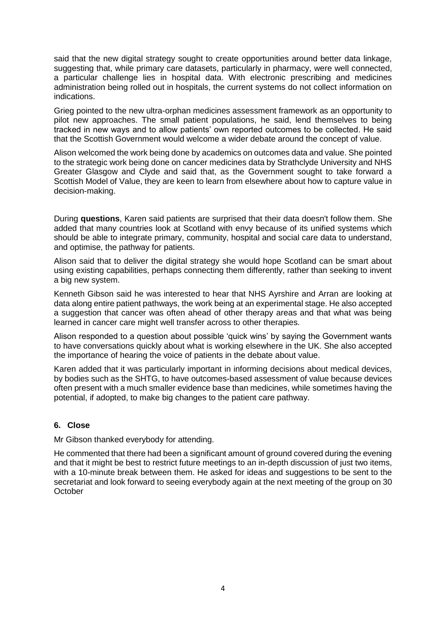said that the new digital strategy sought to create opportunities around better data linkage, suggesting that, while primary care datasets, particularly in pharmacy, were well connected, a particular challenge lies in hospital data. With electronic prescribing and medicines administration being rolled out in hospitals, the current systems do not collect information on indications.

Grieg pointed to the new ultra-orphan medicines assessment framework as an opportunity to pilot new approaches. The small patient populations, he said, lend themselves to being tracked in new ways and to allow patients' own reported outcomes to be collected. He said that the Scottish Government would welcome a wider debate around the concept of value.

Alison welcomed the work being done by academics on outcomes data and value. She pointed to the strategic work being done on cancer medicines data by Strathclyde University and NHS Greater Glasgow and Clyde and said that, as the Government sought to take forward a Scottish Model of Value, they are keen to learn from elsewhere about how to capture value in decision-making.

During **questions**, Karen said patients are surprised that their data doesn't follow them. She added that many countries look at Scotland with envy because of its unified systems which should be able to integrate primary, community, hospital and social care data to understand, and optimise, the pathway for patients.

Alison said that to deliver the digital strategy she would hope Scotland can be smart about using existing capabilities, perhaps connecting them differently, rather than seeking to invent a big new system.

Kenneth Gibson said he was interested to hear that NHS Ayrshire and Arran are looking at data along entire patient pathways, the work being at an experimental stage. He also accepted a suggestion that cancer was often ahead of other therapy areas and that what was being learned in cancer care might well transfer across to other therapies.

Alison responded to a question about possible 'quick wins' by saying the Government wants to have conversations quickly about what is working elsewhere in the UK. She also accepted the importance of hearing the voice of patients in the debate about value.

Karen added that it was particularly important in informing decisions about medical devices, by bodies such as the SHTG, to have outcomes-based assessment of value because devices often present with a much smaller evidence base than medicines, while sometimes having the potential, if adopted, to make big changes to the patient care pathway.

# **6. Close**

Mr Gibson thanked everybody for attending.

He commented that there had been a significant amount of ground covered during the evening and that it might be best to restrict future meetings to an in-depth discussion of just two items, with a 10-minute break between them. He asked for ideas and suggestions to be sent to the secretariat and look forward to seeing everybody again at the next meeting of the group on 30 **October**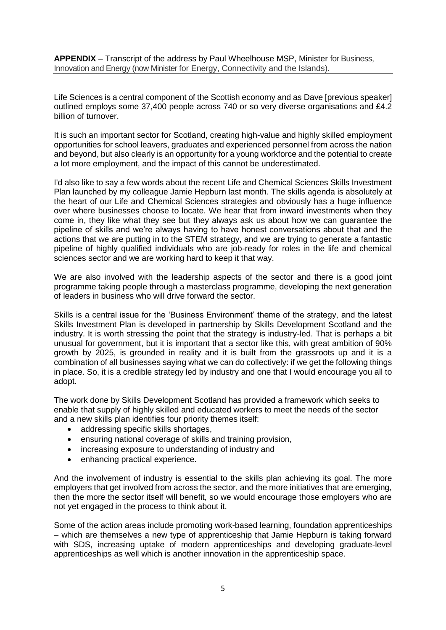**APPENDIX** – Transcript of the address by Paul Wheelhouse MSP, Minister for Business, Innovation and Energy (now Minister for Energy, Connectivity and the Islands).

Life Sciences is a central component of the Scottish economy and as Dave [previous speaker] outlined employs some 37,400 people across 740 or so very diverse organisations and £4.2 billion of turnover.

It is such an important sector for Scotland, creating high-value and highly skilled employment opportunities for school leavers, graduates and experienced personnel from across the nation and beyond, but also clearly is an opportunity for a young workforce and the potential to create a lot more employment, and the impact of this cannot be underestimated.

I'd also like to say a few words about the recent Life and Chemical Sciences Skills Investment Plan launched by my colleague Jamie Hepburn last month. The skills agenda is absolutely at the heart of our Life and Chemical Sciences strategies and obviously has a huge influence over where businesses choose to locate. We hear that from inward investments when they come in, they like what they see but they always ask us about how we can guarantee the pipeline of skills and we're always having to have honest conversations about that and the actions that we are putting in to the STEM strategy, and we are trying to generate a fantastic pipeline of highly qualified individuals who are job-ready for roles in the life and chemical sciences sector and we are working hard to keep it that way.

We are also involved with the leadership aspects of the sector and there is a good joint programme taking people through a masterclass programme, developing the next generation of leaders in business who will drive forward the sector.

Skills is a central issue for the 'Business Environment' theme of the strategy, and the latest Skills Investment Plan is developed in partnership by Skills Development Scotland and the industry. It is worth stressing the point that the strategy is industry-led. That is perhaps a bit unusual for government, but it is important that a sector like this, with great ambition of 90% growth by 2025, is grounded in reality and it is built from the grassroots up and it is a combination of all businesses saying what we can do collectively: if we get the following things in place. So, it is a credible strategy led by industry and one that I would encourage you all to adopt.

The work done by Skills Development Scotland has provided a framework which seeks to enable that supply of highly skilled and educated workers to meet the needs of the sector and a new skills plan identifies four priority themes itself:

- addressing specific skills shortages,
- ensuring national coverage of skills and training provision,
- increasing exposure to understanding of industry and
- enhancing practical experience.

And the involvement of industry is essential to the skills plan achieving its goal. The more employers that get involved from across the sector, and the more initiatives that are emerging, then the more the sector itself will benefit, so we would encourage those employers who are not yet engaged in the process to think about it.

Some of the action areas include promoting work-based learning, foundation apprenticeships – which are themselves a new type of apprenticeship that Jamie Hepburn is taking forward with SDS, increasing uptake of modern apprenticeships and developing graduate-level apprenticeships as well which is another innovation in the apprenticeship space.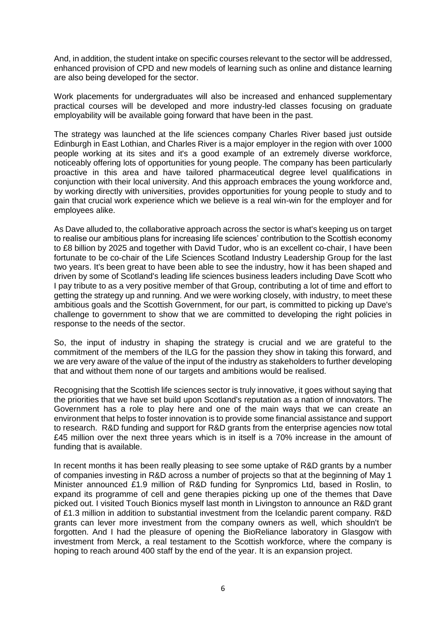And, in addition, the student intake on specific courses relevant to the sector will be addressed, enhanced provision of CPD and new models of learning such as online and distance learning are also being developed for the sector.

Work placements for undergraduates will also be increased and enhanced supplementary practical courses will be developed and more industry-led classes focusing on graduate employability will be available going forward that have been in the past.

The strategy was launched at the life sciences company Charles River based just outside Edinburgh in East Lothian, and Charles River is a major employer in the region with over 1000 people working at its sites and it's a good example of an extremely diverse workforce, noticeably offering lots of opportunities for young people. The company has been particularly proactive in this area and have tailored pharmaceutical degree level qualifications in conjunction with their local university. And this approach embraces the young workforce and, by working directly with universities, provides opportunities for young people to study and to gain that crucial work experience which we believe is a real win-win for the employer and for employees alike.

As Dave alluded to, the collaborative approach across the sector is what's keeping us on target to realise our ambitious plans for increasing life sciences' contribution to the Scottish economy to £8 billion by 2025 and together with David Tudor, who is an excellent co-chair, I have been fortunate to be co-chair of the Life Sciences Scotland Industry Leadership Group for the last two years. It's been great to have been able to see the industry, how it has been shaped and driven by some of Scotland's leading life sciences business leaders including Dave Scott who I pay tribute to as a very positive member of that Group, contributing a lot of time and effort to getting the strategy up and running. And we were working closely, with industry, to meet these ambitious goals and the Scottish Government, for our part, is committed to picking up Dave's challenge to government to show that we are committed to developing the right policies in response to the needs of the sector.

So, the input of industry in shaping the strategy is crucial and we are grateful to the commitment of the members of the ILG for the passion they show in taking this forward, and we are very aware of the value of the input of the industry as stakeholders to further developing that and without them none of our targets and ambitions would be realised.

Recognising that the Scottish life sciences sector is truly innovative, it goes without saying that the priorities that we have set build upon Scotland's reputation as a nation of innovators. The Government has a role to play here and one of the main ways that we can create an environment that helps to foster innovation is to provide some financial assistance and support to research. R&D funding and support for R&D grants from the enterprise agencies now total £45 million over the next three years which is in itself is a 70% increase in the amount of funding that is available.

In recent months it has been really pleasing to see some uptake of R&D grants by a number of companies investing in R&D across a number of projects so that at the beginning of May 1 Minister announced £1.9 million of R&D funding for Synpromics Ltd, based in Roslin, to expand its programme of cell and gene therapies picking up one of the themes that Dave picked out. I visited Touch Bionics myself last month in Livingston to announce an R&D grant of £1.3 million in addition to substantial investment from the Icelandic parent company. R&D grants can lever more investment from the company owners as well, which shouldn't be forgotten. And I had the pleasure of opening the BioReliance laboratory in Glasgow with investment from Merck, a real testament to the Scottish workforce, where the company is hoping to reach around 400 staff by the end of the year. It is an expansion project.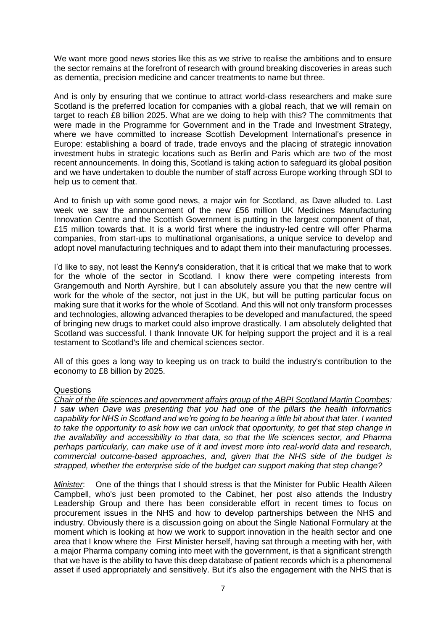We want more good news stories like this as we strive to realise the ambitions and to ensure the sector remains at the forefront of research with ground breaking discoveries in areas such as dementia, precision medicine and cancer treatments to name but three.

And is only by ensuring that we continue to attract world-class researchers and make sure Scotland is the preferred location for companies with a global reach, that we will remain on target to reach £8 billion 2025. What are we doing to help with this? The commitments that were made in the Programme for Government and in the Trade and Investment Strategy, where we have committed to increase Scottish Development International's presence in Europe: establishing a board of trade, trade envoys and the placing of strategic innovation investment hubs in strategic locations such as Berlin and Paris which are two of the most recent announcements. In doing this, Scotland is taking action to safeguard its global position and we have undertaken to double the number of staff across Europe working through SDI to help us to cement that.

And to finish up with some good news, a major win for Scotland, as Dave alluded to. Last week we saw the announcement of the new £56 million UK Medicines Manufacturing Innovation Centre and the Scottish Government is putting in the largest component of that, £15 million towards that. It is a world first where the industry-led centre will offer Pharma companies, from start-ups to multinational organisations, a unique service to develop and adopt novel manufacturing techniques and to adapt them into their manufacturing processes.

I'd like to say, not least the Kenny's consideration, that it is critical that we make that to work for the whole of the sector in Scotland. I know there were competing interests from Grangemouth and North Ayrshire, but I can absolutely assure you that the new centre will work for the whole of the sector, not just in the UK, but will be putting particular focus on making sure that it works for the whole of Scotland. And this will not only transform processes and technologies, allowing advanced therapies to be developed and manufactured, the speed of bringing new drugs to market could also improve drastically. I am absolutely delighted that Scotland was successful. I thank Innovate UK for helping support the project and it is a real testament to Scotland's life and chemical sciences sector.

All of this goes a long way to keeping us on track to build the industry's contribution to the economy to £8 billion by 2025.

# **Questions**

*Chair of the life sciences and government affairs group of the ABPI Scotland Martin Coombes: I saw when Dave was presenting that you had one of the pillars the health Informatics capability for NHS in Scotland and we're going to be hearing a little bit about that later. I wanted to take the opportunity to ask how we can unlock that opportunity, to get that step change in the availability and accessibility to that data, so that the life sciences sector, and Pharma perhaps particularly, can make use of it and invest more into real-world data and research, commercial outcome-based approaches, and, given that the NHS side of the budget is strapped, whether the enterprise side of the budget can support making that step change?*

*Minister*: One of the things that I should stress is that the Minister for Public Health Aileen Campbell, who's just been promoted to the Cabinet, her post also attends the Industry Leadership Group and there has been considerable effort in recent times to focus on procurement issues in the NHS and how to develop partnerships between the NHS and industry. Obviously there is a discussion going on about the Single National Formulary at the moment which is looking at how we work to support innovation in the health sector and one area that I know where the First Minister herself, having sat through a meeting with her, with a major Pharma company coming into meet with the government, is that a significant strength that we have is the ability to have this deep database of patient records which is a phenomenal asset if used appropriately and sensitively. But it's also the engagement with the NHS that is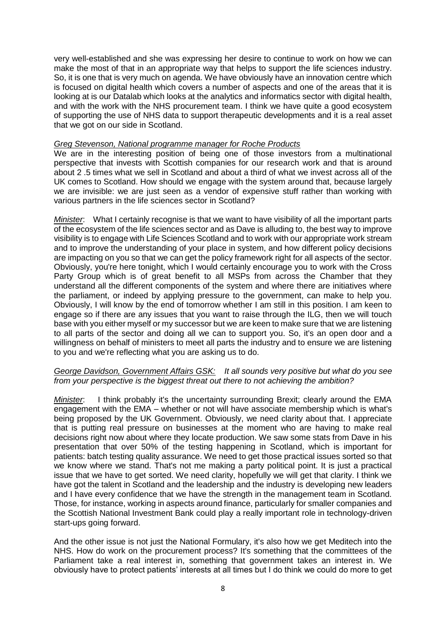very well-established and she was expressing her desire to continue to work on how we can make the most of that in an appropriate way that helps to support the life sciences industry. So, it is one that is very much on agenda. We have obviously have an innovation centre which is focused on digital health which covers a number of aspects and one of the areas that it is looking at is our Datalab which looks at the analytics and informatics sector with digital health, and with the work with the NHS procurement team. I think we have quite a good ecosystem of supporting the use of NHS data to support therapeutic developments and it is a real asset that we got on our side in Scotland.

### *Greg Stevenson, National programme manager for Roche Products*

We are in the interesting position of being one of those investors from a multinational perspective that invests with Scottish companies for our research work and that is around about 2 .5 times what we sell in Scotland and about a third of what we invest across all of the UK comes to Scotland. How should we engage with the system around that, because largely we are invisible: we are just seen as a vendor of expensive stuff rather than working with various partners in the life sciences sector in Scotland?

*Minister*: What I certainly recognise is that we want to have visibility of all the important parts of the ecosystem of the life sciences sector and as Dave is alluding to, the best way to improve visibility is to engage with Life Sciences Scotland and to work with our appropriate work stream and to improve the understanding of your place in system, and how different policy decisions are impacting on you so that we can get the policy framework right for all aspects of the sector. Obviously, you're here tonight, which I would certainly encourage you to work with the Cross Party Group which is of great benefit to all MSPs from across the Chamber that they understand all the different components of the system and where there are initiatives where the parliament, or indeed by applying pressure to the government, can make to help you. Obviously, I will know by the end of tomorrow whether I am still in this position. I am keen to engage so if there are any issues that you want to raise through the ILG, then we will touch base with you either myself or my successor but we are keen to make sure that we are listening to all parts of the sector and doing all we can to support you. So, it's an open door and a willingness on behalf of ministers to meet all parts the industry and to ensure we are listening to you and we're reflecting what you are asking us to do.

#### *George Davidson, Government Affairs GSK: It all sounds very positive but what do you see from your perspective is the biggest threat out there to not achieving the ambition?*

*Minister*: I think probably it's the uncertainty surrounding Brexit; clearly around the EMA engagement with the EMA – whether or not will have associate membership which is what's being proposed by the UK Government. Obviously, we need clarity about that. I appreciate that is putting real pressure on businesses at the moment who are having to make real decisions right now about where they locate production. We saw some stats from Dave in his presentation that over 50% of the testing happening in Scotland, which is important for patients: batch testing quality assurance. We need to get those practical issues sorted so that we know where we stand. That's not me making a party political point. It is just a practical issue that we have to get sorted. We need clarity, hopefully we will get that clarity. I think we have got the talent in Scotland and the leadership and the industry is developing new leaders and I have every confidence that we have the strength in the management team in Scotland. Those, for instance, working in aspects around finance, particularly for smaller companies and the Scottish National Investment Bank could play a really important role in technology-driven start-ups going forward.

And the other issue is not just the National Formulary, it's also how we get Meditech into the NHS. How do work on the procurement process? It's something that the committees of the Parliament take a real interest in, something that government takes an interest in. We obviously have to protect patients' interests at all times but I do think we could do more to get